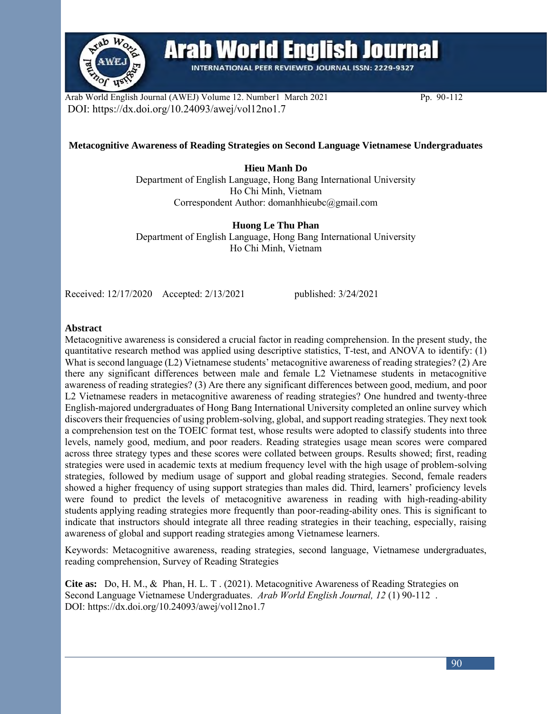

# **Arab World English Journal**

**INTERNATIONAL PEER REVIEWED JOURNAL ISSN: 2229-9327** 

Arab World English Journal (AWEJ) Volume 12. Number1 March 2021 Pp. 90-112 DOI: https://dx.doi.org/10.24093/awej/vol12no1.7

#### **Metacognitive Awareness of Reading Strategies on Second Language Vietnamese Undergraduates**

**Hieu Manh Do** Department of English Language, Hong Bang International University Ho Chi Minh, Vietnam Correspondent Author: domanhhieubc@gmail.com

**Huong Le Thu Phan**  Department of English Language, Hong Bang International University Ho Chi Minh, Vietnam

Received: 12/17/2020 Accepted: 2/13/2021 published: 3/24/2021

#### **Abstract**

Metacognitive awareness is considered a crucial factor in reading comprehension. In the present study, the quantitative research method was applied using descriptive statistics, T-test, and ANOVA to identify: (1) What is second language (L2) Vietnamese students' metacognitive awareness of reading strategies? (2) Are there any significant differences between male and female L2 Vietnamese students in metacognitive awareness of reading strategies? (3) Are there any significant differences between good, medium, and poor L2 Vietnamese readers in metacognitive awareness of reading strategies? One hundred and twenty-three English-majored undergraduates of Hong Bang International University completed an online survey which discovers their frequencies of using problem-solving, global, and support reading strategies. They next took a comprehension test on the TOEIC format test, whose results were adopted to classify students into three levels, namely good, medium, and poor readers. Reading strategies usage mean scores were compared across three strategy types and these scores were collated between groups. Results showed; first, reading strategies were used in academic texts at medium frequency level with the high usage of problem-solving strategies, followed by medium usage of support and global reading strategies. Second, female readers showed a higher frequency of using support strategies than males did. Third, learners' proficiency levels were found to predict the levels of metacognitive awareness in reading with high-reading-ability students applying reading strategies more frequently than poor-reading-ability ones. This is significant to indicate that instructors should integrate all three reading strategies in their teaching, especially, raising awareness of global and support reading strategies among Vietnamese learners.

Keywords: Metacognitive awareness, reading strategies, second language, Vietnamese undergraduates, reading comprehension, Survey of Reading Strategies

**Cite as:** Do, H. M., & Phan, H. L. T . (2021). Metacognitive Awareness of Reading Strategies on Second Language Vietnamese Undergraduates. *Arab World English Journal, 12* (1) 90-112 . DOI: https://dx.doi.org/10.24093/awej/vol12no1.7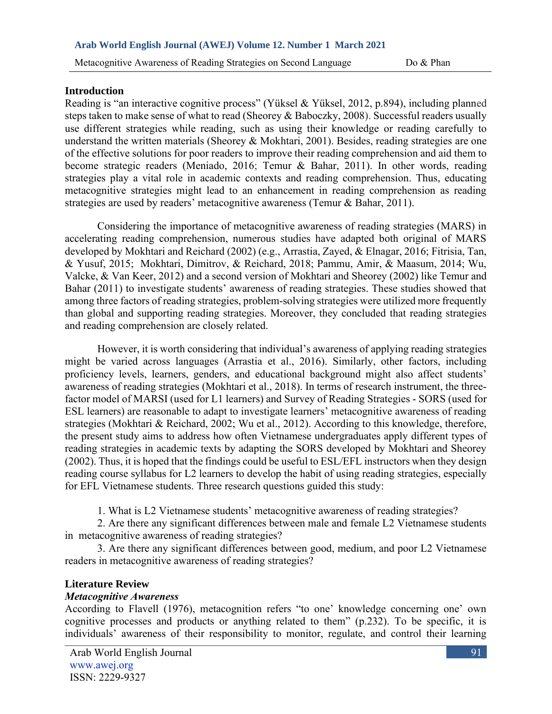#### **Introduction**

Reading is "an interactive cognitive process" (Yüksel & Yüksel, 2012, p.894), including planned steps taken to make sense of what to read (Sheorey & Baboczky, 2008). Successful readers usually use different strategies while reading, such as using their knowledge or reading carefully to understand the written materials (Sheorey & Mokhtari, 2001). Besides, reading strategies are one of the effective solutions for poor readers to improve their reading comprehension and aid them to become strategic readers (Meniado, 2016; Temur & Bahar, 2011). In other words, reading strategies play a vital role in academic contexts and reading comprehension. Thus, educating metacognitive strategies might lead to an enhancement in reading comprehension as reading strategies are used by readers' metacognitive awareness (Temur & Bahar, 2011).

Considering the importance of metacognitive awareness of reading strategies (MARS) in accelerating reading comprehension, numerous studies have adapted both original of MARS developed by Mokhtari and Reichard (2002) (e.g., Arrastia, Zayed, & Elnagar, 2016; Fitrisia, Tan, & Yusuf, 2015; Mokhtari, Dimitrov, & Reichard, 2018; Pammu, Amir, & Maasum, 2014; Wu, Valcke, & Van Keer, 2012) and a second version of Mokhtari and Sheorey (2002) like Temur and Bahar (2011) to investigate students' awareness of reading strategies. These studies showed that among three factors of reading strategies, problem-solving strategies were utilized more frequently than global and supporting reading strategies. Moreover, they concluded that reading strategies and reading comprehension are closely related.

However, it is worth considering that individual's awareness of applying reading strategies might be varied across languages (Arrastia et al., 2016). Similarly, other factors, including proficiency levels, learners, genders, and educational background might also affect students' awareness of reading strategies (Mokhtari et al., 2018). In terms of research instrument, the threefactor model of MARSI (used for L1 learners) and Survey of Reading Strategies - SORS (used for ESL learners) are reasonable to adapt to investigate learners' metacognitive awareness of reading strategies (Mokhtari & Reichard, 2002; Wu et al., 2012). According to this knowledge, therefore, the present study aims to address how often Vietnamese undergraduates apply different types of reading strategies in academic texts by adapting the SORS developed by Mokhtari and Sheorey (2002). Thus, it is hoped that the findings could be useful to ESL/EFL instructors when they design reading course syllabus for L2 learners to develop the habit of using reading strategies, especially for EFL Vietnamese students. Three research questions guided this study:

1. What is L2 Vietnamese students' metacognitive awareness of reading strategies?

 2. Are there any significant differences between male and female L2 Vietnamese students in metacognitive awareness of reading strategies?

3. Are there any significant differences between good, medium, and poor L2 Vietnamese readers in metacognitive awareness of reading strategies?

## **Literature Review**

## *Metacognitive Awareness*

According to Flavell (1976), metacognition refers "to one' knowledge concerning one' own cognitive processes and products or anything related to them" (p.232). To be specific, it is individuals' awareness of their responsibility to monitor, regulate, and control their learning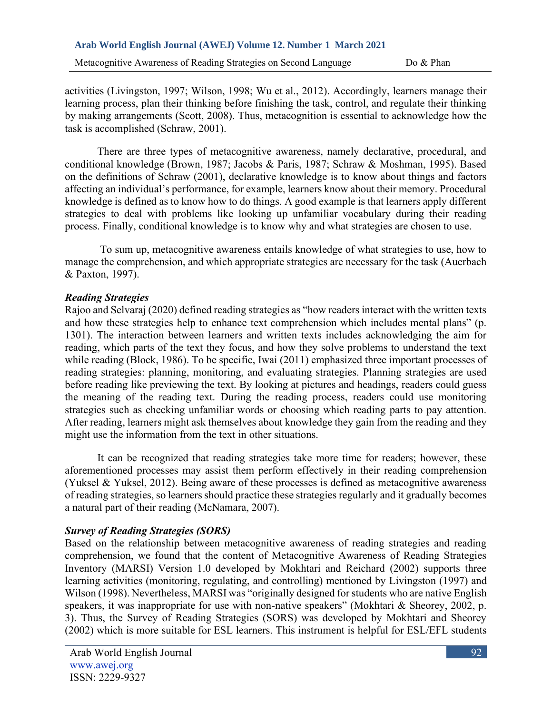Metacognitive Awareness of Reading Strategies on Second Language Do & Phan

activities (Livingston, 1997; Wilson, 1998; Wu et al., 2012). Accordingly, learners manage their learning process, plan their thinking before finishing the task, control, and regulate their thinking by making arrangements (Scott, 2008). Thus, metacognition is essential to acknowledge how the task is accomplished (Schraw, 2001).

There are three types of metacognitive awareness, namely declarative, procedural, and conditional knowledge (Brown, 1987; Jacobs & Paris, 1987; Schraw & Moshman, 1995). Based on the definitions of Schraw (2001), declarative knowledge is to know about things and factors affecting an individual's performance, for example, learners know about their memory. Procedural knowledge is defined as to know how to do things. A good example is that learners apply different strategies to deal with problems like looking up unfamiliar vocabulary during their reading process. Finally, conditional knowledge is to know why and what strategies are chosen to use.

To sum up, metacognitive awareness entails knowledge of what strategies to use, how to manage the comprehension, and which appropriate strategies are necessary for the task (Auerbach & Paxton, 1997).

## *Reading Strategies*

Rajoo and Selvaraj (2020) defined reading strategies as "how readers interact with the written texts and how these strategies help to enhance text comprehension which includes mental plans" (p. 1301). The interaction between learners and written texts includes acknowledging the aim for reading, which parts of the text they focus, and how they solve problems to understand the text while reading (Block, 1986). To be specific, Iwai (2011) emphasized three important processes of reading strategies: planning, monitoring, and evaluating strategies. Planning strategies are used before reading like previewing the text. By looking at pictures and headings, readers could guess the meaning of the reading text. During the reading process, readers could use monitoring strategies such as checking unfamiliar words or choosing which reading parts to pay attention. After reading, learners might ask themselves about knowledge they gain from the reading and they might use the information from the text in other situations.

It can be recognized that reading strategies take more time for readers; however, these aforementioned processes may assist them perform effectively in their reading comprehension (Yuksel & Yuksel, 2012). Being aware of these processes is defined as metacognitive awareness of reading strategies, so learners should practice these strategies regularly and it gradually becomes a natural part of their reading (McNamara, 2007).

## *Survey of Reading Strategies (SORS)*

Based on the relationship between metacognitive awareness of reading strategies and reading comprehension, we found that the content of Metacognitive Awareness of Reading Strategies Inventory (MARSI) Version 1.0 developed by Mokhtari and Reichard (2002) supports three learning activities (monitoring, regulating, and controlling) mentioned by Livingston (1997) and Wilson (1998). Nevertheless, MARSI was "originally designed for students who are native English speakers, it was inappropriate for use with non-native speakers" (Mokhtari & Sheorey, 2002, p. 3). Thus, the Survey of Reading Strategies (SORS) was developed by Mokhtari and Sheorey (2002) which is more suitable for ESL learners. This instrument is helpful for ESL/EFL students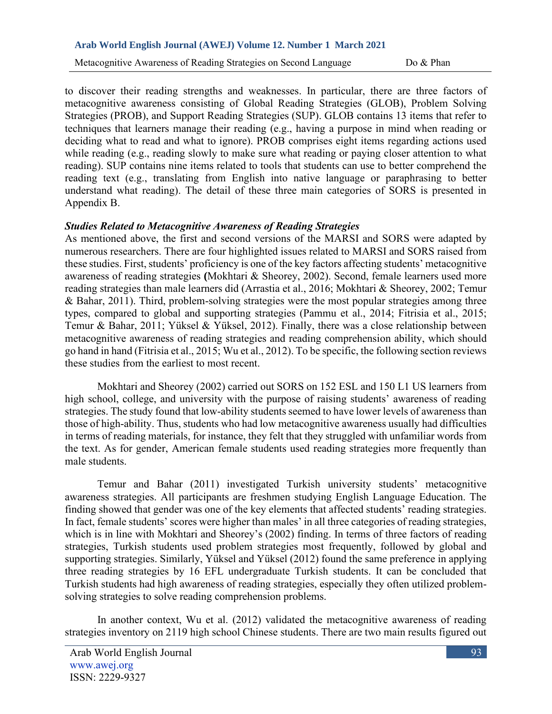Metacognitive Awareness of Reading Strategies on Second Language Do & Phan

to discover their reading strengths and weaknesses. In particular, there are three factors of metacognitive awareness consisting of Global Reading Strategies (GLOB), Problem Solving Strategies (PROB), and Support Reading Strategies (SUP). GLOB contains 13 items that refer to techniques that learners manage their reading (e.g., having a purpose in mind when reading or deciding what to read and what to ignore). PROB comprises eight items regarding actions used while reading (e.g., reading slowly to make sure what reading or paying closer attention to what reading). SUP contains nine items related to tools that students can use to better comprehend the reading text (e.g., translating from English into native language or paraphrasing to better understand what reading). The detail of these three main categories of SORS is presented in Appendix B.

### *Studies Related to Metacognitive Awareness of Reading Strategies*

As mentioned above, the first and second versions of the MARSI and SORS were adapted by numerous researchers. There are four highlighted issues related to MARSI and SORS raised from these studies. First, students' proficiency is one of the key factors affecting students' metacognitive awareness of reading strategies **(**Mokhtari & Sheorey, 2002). Second, female learners used more reading strategies than male learners did (Arrastia et al., 2016; Mokhtari & Sheorey, 2002; Temur & Bahar, 2011). Third, problem-solving strategies were the most popular strategies among three types, compared to global and supporting strategies (Pammu et al., 2014; Fitrisia et al., 2015; Temur & Bahar, 2011; Yüksel & Yüksel, 2012). Finally, there was a close relationship between metacognitive awareness of reading strategies and reading comprehension ability, which should go hand in hand (Fitrisia et al., 2015; Wu et al., 2012). To be specific, the following section reviews these studies from the earliest to most recent.

Mokhtari and Sheorey (2002) carried out SORS on 152 ESL and 150 L1 US learners from high school, college, and university with the purpose of raising students' awareness of reading strategies. The study found that low-ability students seemed to have lower levels of awareness than those of high-ability. Thus, students who had low metacognitive awareness usually had difficulties in terms of reading materials, for instance, they felt that they struggled with unfamiliar words from the text. As for gender, American female students used reading strategies more frequently than male students.

Temur and Bahar (2011) investigated Turkish university students' metacognitive awareness strategies. All participants are freshmen studying English Language Education. The finding showed that gender was one of the key elements that affected students' reading strategies. In fact, female students' scores were higher than males' in all three categories of reading strategies, which is in line with Mokhtari and Sheorey's (2002) finding. In terms of three factors of reading strategies, Turkish students used problem strategies most frequently, followed by global and supporting strategies. Similarly, Yüksel and Yüksel (2012) found the same preference in applying three reading strategies by 16 EFL undergraduate Turkish students. It can be concluded that Turkish students had high awareness of reading strategies, especially they often utilized problemsolving strategies to solve reading comprehension problems.

In another context, Wu et al. (2012) validated the metacognitive awareness of reading strategies inventory on 2119 high school Chinese students. There are two main results figured out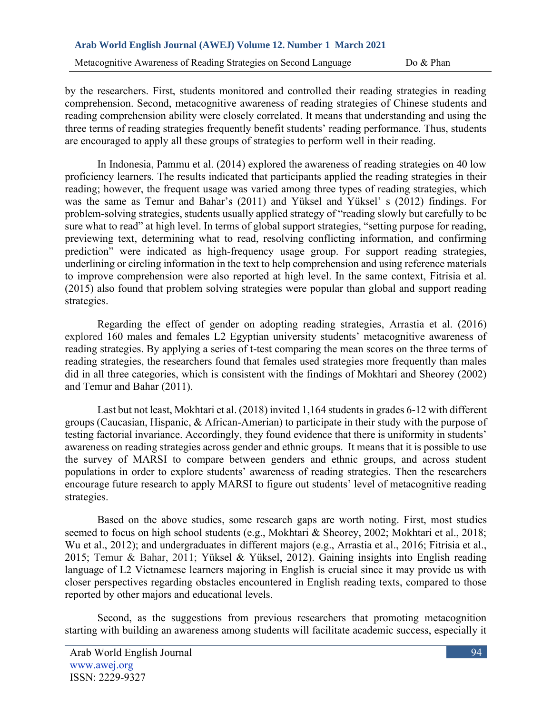Metacognitive Awareness of Reading Strategies on Second Language Do & Phan

by the researchers. First, students monitored and controlled their reading strategies in reading comprehension. Second, metacognitive awareness of reading strategies of Chinese students and reading comprehension ability were closely correlated. It means that understanding and using the three terms of reading strategies frequently benefit students' reading performance. Thus, students are encouraged to apply all these groups of strategies to perform well in their reading.

In Indonesia, Pammu et al. (2014) explored the awareness of reading strategies on 40 low proficiency learners. The results indicated that participants applied the reading strategies in their reading; however, the frequent usage was varied among three types of reading strategies, which was the same as Temur and Bahar's (2011) and Yüksel and Yüksel' s (2012) findings. For problem-solving strategies, students usually applied strategy of "reading slowly but carefully to be sure what to read" at high level. In terms of global support strategies, "setting purpose for reading, previewing text, determining what to read, resolving conflicting information, and confirming prediction" were indicated as high-frequency usage group. For support reading strategies, underlining or circling information in the text to help comprehension and using reference materials to improve comprehension were also reported at high level. In the same context, Fitrisia et al. (2015) also found that problem solving strategies were popular than global and support reading strategies.

Regarding the effect of gender on adopting reading strategies, Arrastia et al. (2016) explored 160 males and females L2 Egyptian university students' metacognitive awareness of reading strategies. By applying a series of t-test comparing the mean scores on the three terms of reading strategies, the researchers found that females used strategies more frequently than males did in all three categories, which is consistent with the findings of Mokhtari and Sheorey (2002) and Temur and Bahar (2011).

Last but not least, Mokhtari et al. (2018) invited 1,164 students in grades 6-12 with different groups (Caucasian, Hispanic, & African-Amerian) to participate in their study with the purpose of testing factorial invariance. Accordingly, they found evidence that there is uniformity in students' awareness on reading strategies across gender and ethnic groups. It means that it is possible to use the survey of MARSI to compare between genders and ethnic groups, and across student populations in order to explore students' awareness of reading strategies. Then the researchers encourage future research to apply MARSI to figure out students' level of metacognitive reading strategies.

Based on the above studies, some research gaps are worth noting. First, most studies seemed to focus on high school students (e.g., Mokhtari & Sheorey, 2002; Mokhtari et al., 2018; Wu et al., 2012); and undergraduates in different majors (e.g., Arrastia et al., 2016; Fitrisia et al., 2015; Temur & Bahar, 2011; Yüksel & Yüksel, 2012). Gaining insights into English reading language of L2 Vietnamese learners majoring in English is crucial since it may provide us with closer perspectives regarding obstacles encountered in English reading texts, compared to those reported by other majors and educational levels.

Second, as the suggestions from previous researchers that promoting metacognition starting with building an awareness among students will facilitate academic success, especially it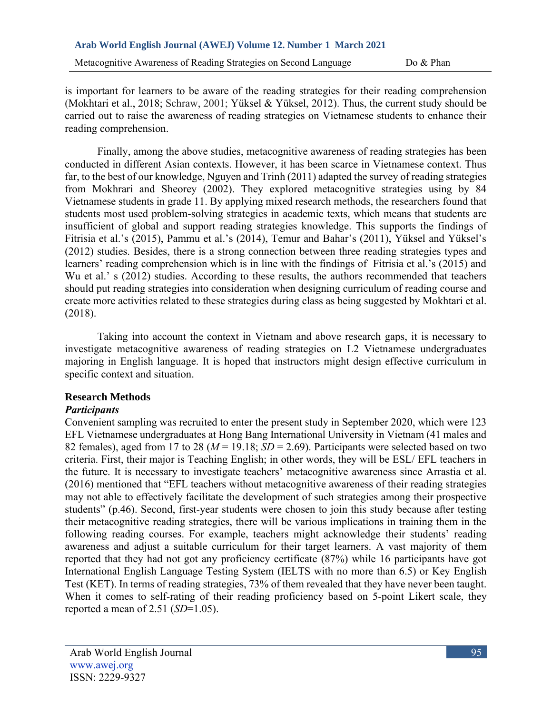is important for learners to be aware of the reading strategies for their reading comprehension (Mokhtari et al., 2018; Schraw, 2001; Yüksel & Yüksel, 2012). Thus, the current study should be carried out to raise the awareness of reading strategies on Vietnamese students to enhance their reading comprehension.

Finally, among the above studies, metacognitive awareness of reading strategies has been conducted in different Asian contexts. However, it has been scarce in Vietnamese context. Thus far, to the best of our knowledge, Nguyen and Trinh (2011) adapted the survey of reading strategies from Mokhrari and Sheorey (2002). They explored metacognitive strategies using by 84 Vietnamese students in grade 11. By applying mixed research methods, the researchers found that students most used problem-solving strategies in academic texts, which means that students are insufficient of global and support reading strategies knowledge. This supports the findings of Fitrisia et al.'s (2015), Pammu et al.'s (2014), Temur and Bahar's (2011), Yüksel and Yüksel's (2012) studies. Besides, there is a strong connection between three reading strategies types and learners' reading comprehension which is in line with the findings of Fitrisia et al.'s (2015) and Wu et al.' s (2012) studies. According to these results, the authors recommended that teachers should put reading strategies into consideration when designing curriculum of reading course and create more activities related to these strategies during class as being suggested by Mokhtari et al. (2018).

Taking into account the context in Vietnam and above research gaps, it is necessary to investigate metacognitive awareness of reading strategies on L2 Vietnamese undergraduates majoring in English language. It is hoped that instructors might design effective curriculum in specific context and situation.

## **Research Methods**

# *Participants*

Convenient sampling was recruited to enter the present study in September 2020, which were 123 EFL Vietnamese undergraduates at Hong Bang International University in Vietnam (41 males and 82 females), aged from 17 to 28 ( $M = 19.18$ ;  $SD = 2.69$ ). Participants were selected based on two criteria. First, their major is Teaching English; in other words, they will be ESL/ EFL teachers in the future. It is necessary to investigate teachers' metacognitive awareness since Arrastia et al. (2016) mentioned that "EFL teachers without metacognitive awareness of their reading strategies may not able to effectively facilitate the development of such strategies among their prospective students" (p.46). Second, first-year students were chosen to join this study because after testing their metacognitive reading strategies, there will be various implications in training them in the following reading courses. For example, teachers might acknowledge their students' reading awareness and adjust a suitable curriculum for their target learners. A vast majority of them reported that they had not got any proficiency certificate (87%) while 16 participants have got International English Language Testing System (IELTS with no more than 6.5) or Key English Test (KET). In terms of reading strategies, 73% of them revealed that they have never been taught. When it comes to self-rating of their reading proficiency based on 5-point Likert scale, they reported a mean of 2.51 (*SD*=1.05).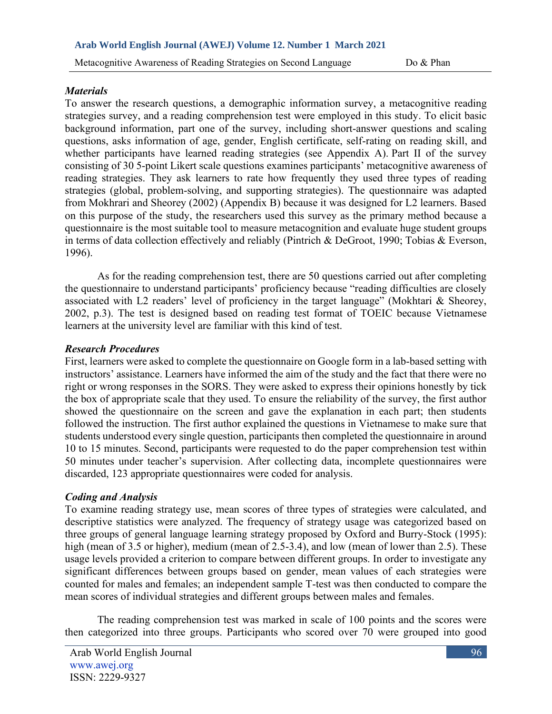### *Materials*

To answer the research questions, a demographic information survey, a metacognitive reading strategies survey, and a reading comprehension test were employed in this study. To elicit basic background information, part one of the survey, including short-answer questions and scaling questions, asks information of age, gender, English certificate, self-rating on reading skill, and whether participants have learned reading strategies (see Appendix A). Part II of the survey consisting of 30 5-point Likert scale questions examines participants' metacognitive awareness of reading strategies. They ask learners to rate how frequently they used three types of reading strategies (global, problem-solving, and supporting strategies). The questionnaire was adapted from Mokhrari and Sheorey (2002) (Appendix B) because it was designed for L2 learners. Based on this purpose of the study, the researchers used this survey as the primary method because a questionnaire is the most suitable tool to measure metacognition and evaluate huge student groups in terms of data collection effectively and reliably (Pintrich & DeGroot, 1990; Tobias & Everson, 1996).

As for the reading comprehension test, there are 50 questions carried out after completing the questionnaire to understand participants' proficiency because "reading difficulties are closely associated with L2 readers' level of proficiency in the target language" (Mokhtari & Sheorey, 2002, p.3). The test is designed based on reading test format of TOEIC because Vietnamese learners at the university level are familiar with this kind of test.

## *Research Procedures*

First, learners were asked to complete the questionnaire on Google form in a lab-based setting with instructors' assistance. Learners have informed the aim of the study and the fact that there were no right or wrong responses in the SORS. They were asked to express their opinions honestly by tick the box of appropriate scale that they used. To ensure the reliability of the survey, the first author showed the questionnaire on the screen and gave the explanation in each part; then students followed the instruction. The first author explained the questions in Vietnamese to make sure that students understood every single question, participants then completed the questionnaire in around 10 to 15 minutes. Second, participants were requested to do the paper comprehension test within 50 minutes under teacher's supervision. After collecting data, incomplete questionnaires were discarded, 123 appropriate questionnaires were coded for analysis.

## *Coding and Analysis*

To examine reading strategy use, mean scores of three types of strategies were calculated, and descriptive statistics were analyzed. The frequency of strategy usage was categorized based on three groups of general language learning strategy proposed by Oxford and Burry-Stock (1995): high (mean of 3.5 or higher), medium (mean of 2.5-3.4), and low (mean of lower than 2.5). These usage levels provided a criterion to compare between different groups. In order to investigate any significant differences between groups based on gender, mean values of each strategies were counted for males and females; an independent sample T-test was then conducted to compare the mean scores of individual strategies and different groups between males and females.

The reading comprehension test was marked in scale of 100 points and the scores were then categorized into three groups. Participants who scored over 70 were grouped into good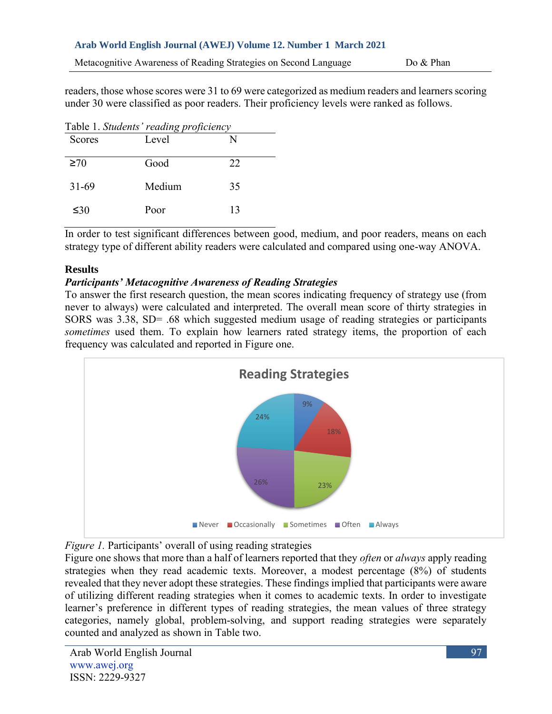Metacognitive Awareness of Reading Strategies on Second Language Do & Phan

readers, those whose scores were 31 to 69 were categorized as medium readers and learners scoring under 30 were classified as poor readers. Their proficiency levels were ranked as follows.

|               | Table 1. Students' reading proficiency |    |  |
|---------------|----------------------------------------|----|--|
| <b>Scores</b> | Level                                  |    |  |
| $\geq 70$     | Good                                   | 22 |  |
| $31 - 69$     | Medium                                 | 35 |  |
| ≤30           | Poor                                   | 13 |  |

In order to test significant differences between good, medium, and poor readers, means on each strategy type of different ability readers were calculated and compared using one-way ANOVA.

# **Results**

# *Participants' Metacognitive Awareness of Reading Strategies*

To answer the first research question, the mean scores indicating frequency of strategy use (from never to always) were calculated and interpreted. The overall mean score of thirty strategies in SORS was 3.38, SD= .68 which suggested medium usage of reading strategies or participants *sometimes* used them. To explain how learners rated strategy items, the proportion of each frequency was calculated and reported in Figure one.



*Figure 1.* Participants' overall of using reading strategies

Figure one shows that more than a half of learners reported that they *often* or *always* apply reading strategies when they read academic texts. Moreover, a modest percentage (8%) of students revealed that they never adopt these strategies. These findings implied that participants were aware of utilizing different reading strategies when it comes to academic texts. In order to investigate learner's preference in different types of reading strategies, the mean values of three strategy categories, namely global, problem-solving, and support reading strategies were separately counted and analyzed as shown in Table two.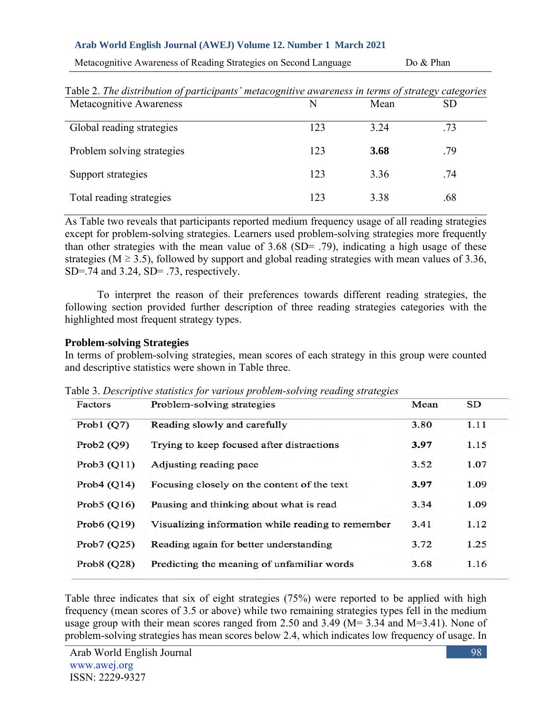Metacognitive Awareness of Reading Strategies on Second Language Do & Phan

| Metacognitive Awareness    | N   | $\sqrt{2}$<br>Mean | $\cdots$ $\cdots$<br><b>SD</b> |
|----------------------------|-----|--------------------|--------------------------------|
|                            |     |                    |                                |
| Global reading strategies  | 123 | 3.24               | .73                            |
| Problem solving strategies | 123 | 3.68               | .79                            |
| Support strategies         | 123 | 3.36               | .74                            |
| Total reading strategies   | 123 | 3.38               | .68                            |

Table 2. *The distribution of participants' metacognitive awareness in terms of strategy categories*

As Table two reveals that participants reported medium frequency usage of all reading strategies except for problem-solving strategies. Learners used problem-solving strategies more frequently than other strategies with the mean value of 3.68 (SD= .79), indicating a high usage of these strategies ( $M \ge 3.5$ ), followed by support and global reading strategies with mean values of 3.36, SD=.74 and 3.24, SD= .73, respectively.

To interpret the reason of their preferences towards different reading strategies, the following section provided further description of three reading strategies categories with the highlighted most frequent strategy types.

### **Problem-solving Strategies**

In terms of problem-solving strategies, mean scores of each strategy in this group were counted and descriptive statistics were shown in Table three.

| Factors        | Problem-solving strategies                        | Mean | SD   |
|----------------|---------------------------------------------------|------|------|
| Prob1 $(Q7)$   | Reading slowly and carefully                      | 3.80 | 1.11 |
| Prob2 $(Q9)$   | Trying to keep focused after distractions         | 3.97 | 1.15 |
| Prob3 $(Q11)$  | Adjusting reading pace                            | 3.52 | 1.07 |
| Prob $4(Q14)$  | Focusing closely on the content of the text       | 3.97 | 1.09 |
| Prob5 $(Q16)$  | Pausing and thinking about what is read           | 3.34 | 1.09 |
| Prob6 $(Q19)$  | Visualizing information while reading to remember | 3.41 | 1.12 |
| Prob7 $(Q25)$  | Reading again for better understanding            | 3.72 | 1.25 |
| Prob $8$ (Q28) | Predicting the meaning of unfamiliar words        | 3.68 | 1.16 |
|                |                                                   |      |      |

Table 3. *Descriptive statistics for various problem-solving reading strategies*

Table three indicates that six of eight strategies (75%) were reported to be applied with high frequency (mean scores of 3.5 or above) while two remaining strategies types fell in the medium usage group with their mean scores ranged from 2.50 and 3.49 (M= 3.34 and M=3.41). None of problem-solving strategies has mean scores below 2.4, which indicates low frequency of usage. In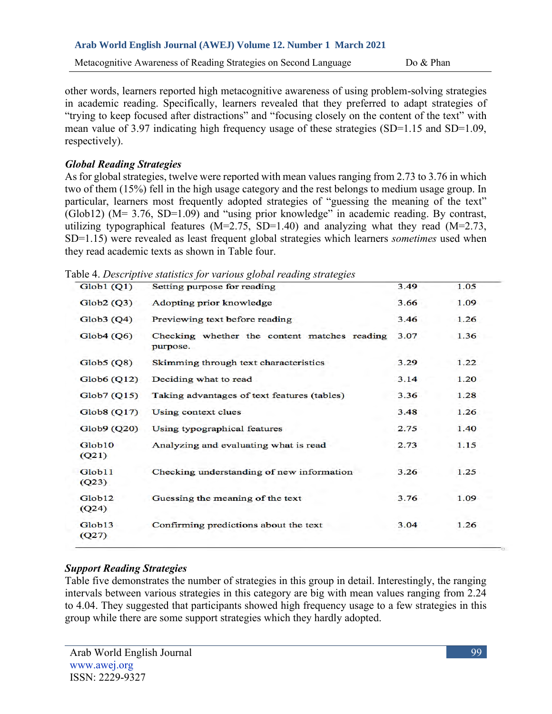other words, learners reported high metacognitive awareness of using problem-solving strategies in academic reading. Specifically, learners revealed that they preferred to adapt strategies of "trying to keep focused after distractions" and "focusing closely on the content of the text" with mean value of 3.97 indicating high frequency usage of these strategies (SD=1.15 and SD=1.09, respectively).

# *Global Reading Strategies*

As for global strategies, twelve were reported with mean values ranging from 2.73 to 3.76 in which two of them (15%) fell in the high usage category and the rest belongs to medium usage group. In particular, learners most frequently adopted strategies of "guessing the meaning of the text"  $(Glob12)$  (M= 3.76, SD=1.09) and "using prior knowledge" in academic reading. By contrast, utilizing typographical features  $(M=2.75, SD=1.40)$  and analyzing what they read  $(M=2.73,$ SD=1.15) were revealed as least frequent global strategies which learners *sometimes* used when they read academic texts as shown in Table four.

Table 4. *Descriptive statistics for various global reading strategies*

| Setting purpose for reading                              | 3.49 | 1.05 |
|----------------------------------------------------------|------|------|
| Adopting prior knowledge                                 | 3.66 | 1.09 |
| Previewing text before reading                           | 3.46 | 1.26 |
| Checking whether the content matches reading<br>purpose. | 3.07 | 1.36 |
| Skimming through text characteristics                    | 3.29 | 1.22 |
| Deciding what to read                                    | 3.14 | 1.20 |
| Taking advantages of text features (tables)              | 3.36 | 1.28 |
| Using context clues                                      | 3.48 | 1.26 |
| Using typographical features                             | 2.75 | 1.40 |
| Analyzing and evaluating what is read                    | 2.73 | 1.15 |
| Checking understanding of new information                | 3.26 | 1.25 |
| Guessing the meaning of the text                         | 3.76 | 1.09 |
| Confirming predictions about the text                    | 3.04 | 1.26 |
|                                                          |      |      |

# *Support Reading Strategies*

Table five demonstrates the number of strategies in this group in detail. Interestingly, the ranging intervals between various strategies in this category are big with mean values ranging from 2.24 to 4.04. They suggested that participants showed high frequency usage to a few strategies in this group while there are some support strategies which they hardly adopted.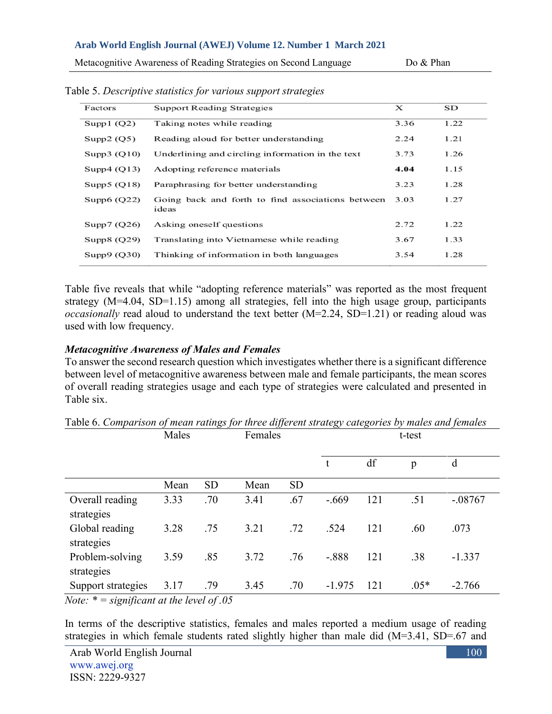Metacognitive Awareness of Reading Strategies on Second Language Do & Phan

| Factors       | <b>Support Reading Strategies</b>                          | х    | SD   |
|---------------|------------------------------------------------------------|------|------|
| Supp1 $(Q2)$  | Taking notes while reading                                 | 3.36 | 1.22 |
| Supp2 $(Q5)$  | Reading aloud for better understanding                     | 2.24 | 1.21 |
| Supp3 $(Q10)$ | Underlining and circling information in the text           | 3.73 | 1.26 |
| Supp4 $(Q13)$ | Adopting reference materials                               | 4.04 | 1.15 |
| Supp $5(Q18)$ | Paraphrasing for better understanding                      | 3.23 | 1.28 |
| Supp $6(Q22)$ | Going back and forth to find associations between<br>ideas | 3.03 | 1.27 |
| Supp $7(Q26)$ | Asking oneself questions                                   | 2.72 | 1.22 |
| Supp8 $(Q29)$ | Translating into Vietnamese while reading                  | 3.67 | 1.33 |
| Supp9(Q30)    | Thinking of information in both languages                  | 3.54 | 1.28 |

Table 5. *Descriptive statistics for various support strategies*

Table five reveals that while "adopting reference materials" was reported as the most frequent strategy (M=4.04, SD=1.15) among all strategies, fell into the high usage group, participants *occasionally* read aloud to understand the text better (M=2.24, SD=1.21) or reading aloud was used with low frequency.

### *Metacognitive Awareness of Males and Females*

To answer the second research question which investigates whether there is a significant difference between level of metacognitive awareness between male and female participants, the mean scores of overall reading strategies usage and each type of strategies were calculated and presented in Table six.

|                                                 | Males |           | Females |           |          |     |        |           |
|-------------------------------------------------|-------|-----------|---------|-----------|----------|-----|--------|-----------|
|                                                 |       |           |         |           | t        | df  | p      | d         |
|                                                 | Mean  | <b>SD</b> | Mean    | <b>SD</b> |          |     |        |           |
| Overall reading<br>strategies                   | 3.33  | .70       | 3.41    | .67       | $-.669$  | 121 | .51    | $-.08767$ |
| Global reading<br>strategies                    | 3.28  | .75       | 3.21    | .72       | .524     | 121 | .60    | .073      |
| Problem-solving<br>strategies                   | 3.59  | .85       | 3.72    | .76       | $-.888$  | 121 | .38    | $-1.337$  |
| Support strategies                              | 3.17  | .79       | 3.45    | .70       | $-1.975$ | 121 | $.05*$ | $-2.766$  |
| $Noto \cdot * =$ significant at the level of 05 |       |           |         |           |          |     |        |           |

Table 6. *Comparison of mean ratings for three different strategy categories by males and females*

*Note: \* = significant at the level of .05*

In terms of the descriptive statistics, females and males reported a medium usage of reading strategies in which female students rated slightly higher than male did (M=3.41, SD=.67 and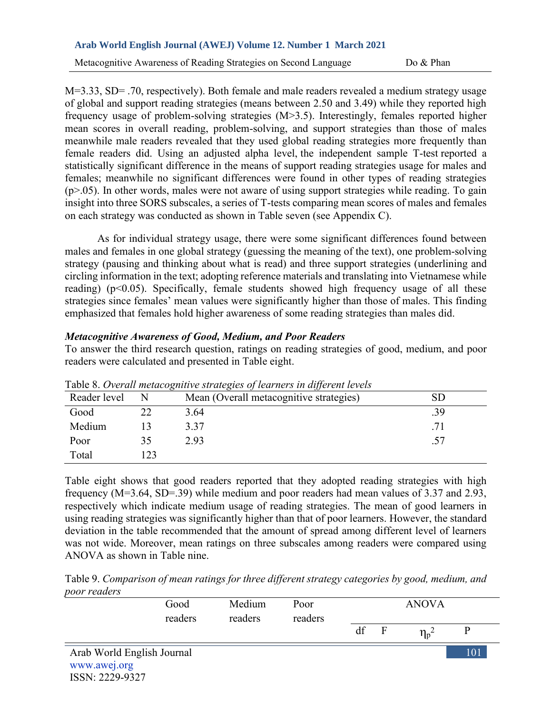M=3.33, SD= .70, respectively). Both female and male readers revealed a medium strategy usage of global and support reading strategies (means between 2.50 and 3.49) while they reported high frequency usage of problem-solving strategies (M>3.5). Interestingly, females reported higher mean scores in overall reading, problem-solving, and support strategies than those of males meanwhile male readers revealed that they used global reading strategies more frequently than female readers did. Using an adjusted alpha level, the independent sample T-test reported a statistically significant difference in the means of support reading strategies usage for males and females; meanwhile no significant differences were found in other types of reading strategies  $(p>0.05)$ . In other words, males were not aware of using support strategies while reading. To gain insight into three SORS subscales, a series of T-tests comparing mean scores of males and females on each strategy was conducted as shown in Table seven (see Appendix C).

As for individual strategy usage, there were some significant differences found between males and females in one global strategy (guessing the meaning of the text), one problem-solving strategy (pausing and thinking about what is read) and three support strategies (underlining and circling information in the text; adopting reference materials and translating into Vietnamese while reading) (p<0.05). Specifically, female students showed high frequency usage of all these strategies since females' mean values were significantly higher than those of males. This finding emphasized that females hold higher awareness of some reading strategies than males did.

### *Metacognitive Awareness of Good, Medium, and Poor Readers*

To answer the third research question, ratings on reading strategies of good, medium, and poor readers were calculated and presented in Table eight.

| Reader level |    | Table 6. Overall memografic strategies of icarilers in afferent tevels<br>Mean (Overall metacognitive strategies) | $\operatorname{SD}$ |
|--------------|----|-------------------------------------------------------------------------------------------------------------------|---------------------|
| Good         | 22 | 3.64                                                                                                              | .39                 |
| Medium       |    | 3.37                                                                                                              | .71                 |
| Poor         | 35 | 2.93                                                                                                              | .57                 |
| Total        |    |                                                                                                                   |                     |

Table 8. *Overall metacognitive strategies of learners in different levels*

Table eight shows that good readers reported that they adopted reading strategies with high frequency (M=3.64, SD=.39) while medium and poor readers had mean values of 3.37 and 2.93, respectively which indicate medium usage of reading strategies. The mean of good learners in using reading strategies was significantly higher than that of poor learners. However, the standard deviation in the table recommended that the amount of spread among different level of learners was not wide. Moreover, mean ratings on three subscales among readers were compared using ANOVA as shown in Table nine.

Table 9. *Comparison of mean ratings for three different strategy categories by good, medium, and poor readers*

| poor <i>readers</i>             |                 |                   |                 |    |   |              |     |
|---------------------------------|-----------------|-------------------|-----------------|----|---|--------------|-----|
|                                 | Good<br>readers | Medium<br>readers | Poor<br>readers |    |   | <b>ANOVA</b> |     |
|                                 |                 |                   |                 | df | F | $\eta_p^2$   |     |
| Arab World English Journal      |                 |                   |                 |    |   |              | 101 |
| www.awej.org<br>ISSN: 2229-9327 |                 |                   |                 |    |   |              |     |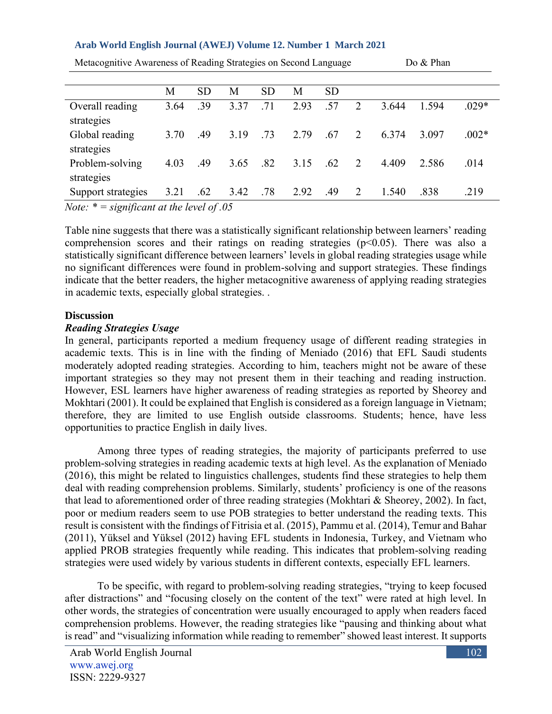|                                                                                       | М    | <b>SD</b> | M    | <b>SD</b> | M    | <b>SD</b> |                |       |       |         |
|---------------------------------------------------------------------------------------|------|-----------|------|-----------|------|-----------|----------------|-------|-------|---------|
| Overall reading<br>strategies                                                         | 3.64 | .39       | 3.37 | .71       | 2.93 | .57       | $\overline{2}$ | 3.644 | 1.594 | $.029*$ |
| Global reading<br>strategies                                                          | 3.70 | .49       | 3.19 | .73       | 2.79 | .67       | 2              | 6.374 | 3.097 | $.002*$ |
| Problem-solving<br>strategies                                                         | 4.03 | .49       | 3.65 | .82       | 3.15 | .62       | $\mathcal{L}$  | 4.409 | 2.586 | .014    |
| Support strategies<br>$\mathbf{v}$ and $\mathbf{v}$ and $\mathbf{v}$ and $\mathbf{v}$ | 3.21 | .62       | 3.42 | .78       | 2.92 | .49       | 2              | 1.540 | .838  | .219    |

Metacognitive Awareness of Reading Strategies on Second Language Do & Phan

*Note: \* = significant at the level of .05*

Table nine suggests that there was a statistically significant relationship between learners' reading comprehension scores and their ratings on reading strategies  $(p<0.05)$ . There was also a statistically significant difference between learners' levels in global reading strategies usage while no significant differences were found in problem-solving and support strategies. These findings indicate that the better readers, the higher metacognitive awareness of applying reading strategies in academic texts, especially global strategies. .

### **Discussion**

## *Reading Strategies Usage*

In general, participants reported a medium frequency usage of different reading strategies in academic texts. This is in line with the finding of Meniado (2016) that EFL Saudi students moderately adopted reading strategies. According to him, teachers might not be aware of these important strategies so they may not present them in their teaching and reading instruction. However, ESL learners have higher awareness of reading strategies as reported by Sheorey and Mokhtari (2001). It could be explained that English is considered as a foreign language in Vietnam; therefore, they are limited to use English outside classrooms. Students; hence, have less opportunities to practice English in daily lives.

Among three types of reading strategies, the majority of participants preferred to use problem-solving strategies in reading academic texts at high level. As the explanation of Meniado (2016), this might be related to linguistics challenges, students find these strategies to help them deal with reading comprehension problems. Similarly, students' proficiency is one of the reasons that lead to aforementioned order of three reading strategies (Mokhtari & Sheorey, 2002). In fact, poor or medium readers seem to use POB strategies to better understand the reading texts. This result is consistent with the findings of Fitrisia et al. (2015), Pammu et al. (2014), Temur and Bahar (2011), Yüksel and Yüksel (2012) having EFL students in Indonesia, Turkey, and Vietnam who applied PROB strategies frequently while reading. This indicates that problem-solving reading strategies were used widely by various students in different contexts, especially EFL learners.

To be specific, with regard to problem-solving reading strategies, "trying to keep focused after distractions" and "focusing closely on the content of the text" were rated at high level. In other words, the strategies of concentration were usually encouraged to apply when readers faced comprehension problems. However, the reading strategies like "pausing and thinking about what is read" and "visualizing information while reading to remember" showed least interest. It supports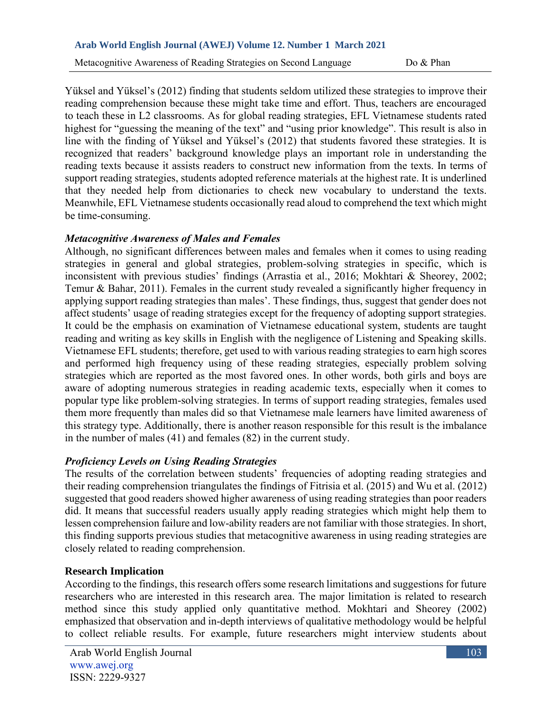Metacognitive Awareness of Reading Strategies on Second Language Do & Phan

Yüksel and Yüksel's (2012) finding that students seldom utilized these strategies to improve their reading comprehension because these might take time and effort. Thus, teachers are encouraged to teach these in L2 classrooms. As for global reading strategies, EFL Vietnamese students rated highest for "guessing the meaning of the text" and "using prior knowledge". This result is also in line with the finding of Yüksel and Yüksel's (2012) that students favored these strategies. It is recognized that readers' background knowledge plays an important role in understanding the reading texts because it assists readers to construct new information from the texts. In terms of support reading strategies, students adopted reference materials at the highest rate. It is underlined that they needed help from dictionaries to check new vocabulary to understand the texts. Meanwhile, EFL Vietnamese students occasionally read aloud to comprehend the text which might be time-consuming.

# *Metacognitive Awareness of Males and Females*

Although, no significant differences between males and females when it comes to using reading strategies in general and global strategies, problem-solving strategies in specific, which is inconsistent with previous studies' findings (Arrastia et al., 2016; Mokhtari & Sheorey, 2002; Temur & Bahar, 2011). Females in the current study revealed a significantly higher frequency in applying support reading strategies than males'. These findings, thus, suggest that gender does not affect students' usage of reading strategies except for the frequency of adopting support strategies. It could be the emphasis on examination of Vietnamese educational system, students are taught reading and writing as key skills in English with the negligence of Listening and Speaking skills. Vietnamese EFL students; therefore, get used to with various reading strategies to earn high scores and performed high frequency using of these reading strategies, especially problem solving strategies which are reported as the most favored ones. In other words, both girls and boys are aware of adopting numerous strategies in reading academic texts, especially when it comes to popular type like problem-solving strategies. In terms of support reading strategies, females used them more frequently than males did so that Vietnamese male learners have limited awareness of this strategy type. Additionally, there is another reason responsible for this result is the imbalance in the number of males (41) and females (82) in the current study.

# *Proficiency Levels on Using Reading Strategies*

The results of the correlation between students' frequencies of adopting reading strategies and their reading comprehension triangulates the findings of Fitrisia et al. (2015) and Wu et al. (2012) suggested that good readers showed higher awareness of using reading strategies than poor readers did. It means that successful readers usually apply reading strategies which might help them to lessen comprehension failure and low-ability readers are not familiar with those strategies. In short, this finding supports previous studies that metacognitive awareness in using reading strategies are closely related to reading comprehension.

# **Research Implication**

According to the findings, this research offers some research limitations and suggestions for future researchers who are interested in this research area. The major limitation is related to research method since this study applied only quantitative method. Mokhtari and Sheorey (2002) emphasized that observation and in-depth interviews of qualitative methodology would be helpful to collect reliable results. For example, future researchers might interview students about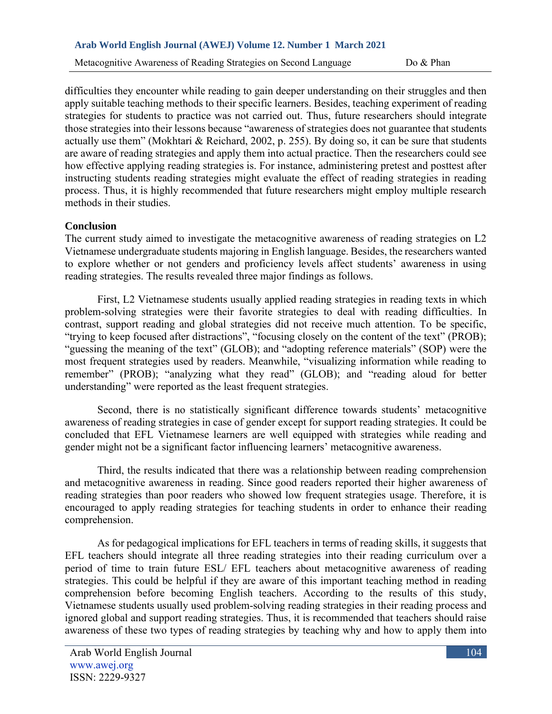Metacognitive Awareness of Reading Strategies on Second Language Do & Phan

difficulties they encounter while reading to gain deeper understanding on their struggles and then apply suitable teaching methods to their specific learners. Besides, teaching experiment of reading strategies for students to practice was not carried out. Thus, future researchers should integrate those strategies into their lessons because "awareness of strategies does not guarantee that students actually use them" (Mokhtari & Reichard, 2002, p. 255). By doing so, it can be sure that students are aware of reading strategies and apply them into actual practice. Then the researchers could see how effective applying reading strategies is. For instance, administering pretest and posttest after instructing students reading strategies might evaluate the effect of reading strategies in reading process. Thus, it is highly recommended that future researchers might employ multiple research methods in their studies.

#### **Conclusion**

The current study aimed to investigate the metacognitive awareness of reading strategies on L2 Vietnamese undergraduate students majoring in English language. Besides, the researchers wanted to explore whether or not genders and proficiency levels affect students' awareness in using reading strategies. The results revealed three major findings as follows.

First, L2 Vietnamese students usually applied reading strategies in reading texts in which problem-solving strategies were their favorite strategies to deal with reading difficulties. In contrast, support reading and global strategies did not receive much attention. To be specific, "trying to keep focused after distractions", "focusing closely on the content of the text" (PROB); "guessing the meaning of the text" (GLOB); and "adopting reference materials" (SOP) were the most frequent strategies used by readers. Meanwhile, "visualizing information while reading to remember" (PROB); "analyzing what they read" (GLOB); and "reading aloud for better understanding" were reported as the least frequent strategies.

Second, there is no statistically significant difference towards students' metacognitive awareness of reading strategies in case of gender except for support reading strategies. It could be concluded that EFL Vietnamese learners are well equipped with strategies while reading and gender might not be a significant factor influencing learners' metacognitive awareness.

Third, the results indicated that there was a relationship between reading comprehension and metacognitive awareness in reading. Since good readers reported their higher awareness of reading strategies than poor readers who showed low frequent strategies usage. Therefore, it is encouraged to apply reading strategies for teaching students in order to enhance their reading comprehension.

As for pedagogical implications for EFL teachers in terms of reading skills, it suggests that EFL teachers should integrate all three reading strategies into their reading curriculum over a period of time to train future ESL/ EFL teachers about metacognitive awareness of reading strategies. This could be helpful if they are aware of this important teaching method in reading comprehension before becoming English teachers. According to the results of this study, Vietnamese students usually used problem-solving reading strategies in their reading process and ignored global and support reading strategies. Thus, it is recommended that teachers should raise awareness of these two types of reading strategies by teaching why and how to apply them into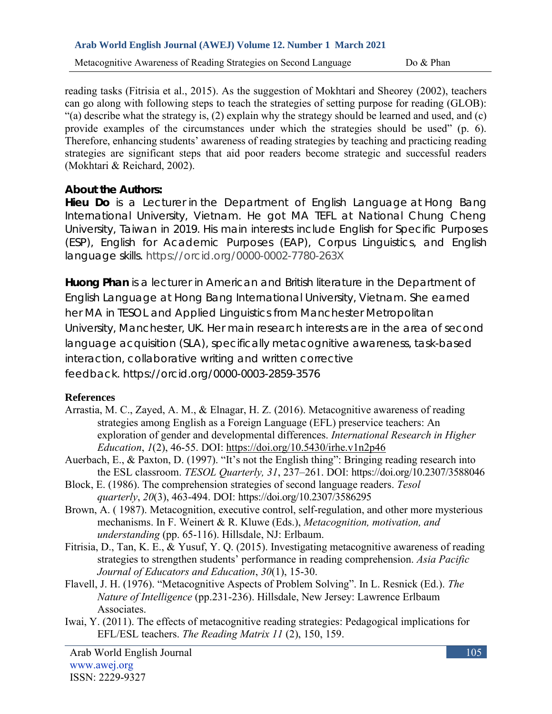Metacognitive Awareness of Reading Strategies on Second Language Do & Phan

reading tasks (Fitrisia et al., 2015). As the suggestion of Mokhtari and Sheorey (2002), teachers can go along with following steps to teach the strategies of setting purpose for reading (GLOB): "(a) describe what the strategy is, (2) explain why the strategy should be learned and used, and (c) provide examples of the circumstances under which the strategies should be used" (p. 6). Therefore, enhancing students' awareness of reading strategies by teaching and practicing reading strategies are significant steps that aid poor readers become strategic and successful readers (Mokhtari & Reichard, 2002).

**About the Authors:**

**Hieu Do** is a Lecturer in the Department of English Language at Hong Bang International University, Vietnam. He got MA TEFL at National Chung Cheng University, Taiwan in 2019. His main interests include English for Specific Purposes (ESP), English for Academic Purposes (EAP), Corpus Linguistics, and English language skills. https://orcid.org/0000-0002-7780-263X

**Huong Phan** is a lecturer in American and British literature in the Department of English Language at Hong Bang International University, Vietnam. She earned her MA in TESOL and Applied Linguistics from Manchester Metropolitan University, Manchester, UK. Her main research interests are in the area of second language acquisition (SLA), specifically metacognitive awareness, task-based interaction, collaborative writing and written corrective feedback. <https://orcid.org/0000-0003-2859-3576>

# **References**

- Arrastia, M. C., Zayed, A. M., & Elnagar, H. Z. (2016). Metacognitive awareness of reading strategies among English as a Foreign Language (EFL) preservice teachers: An exploration of gender and developmental differences. *International Research in Higher Education*, *1*(2), 46-55. DOI:<https://doi.org/10.5430/irhe.v1n2p46>
- Auerbach, E., & Paxton, D. (1997). "It's not the English thing": Bringing reading research into the ESL classroom. *TESOL Quarterly, 31*, 237–261. DOI:<https://doi.org/10.2307/3588046>
- Block, E. (1986). The comprehension strategies of second language readers. *Tesol quarterly*, *20*(3), 463-494. DOI:<https://doi.org/10.2307/3586295>
- Brown, A. ( 1987). Metacognition, executive control, self-regulation, and other more mysterious mechanisms. In F. Weinert & R. Kluwe (Eds.), *Metacognition, motivation, and understanding* (pp. 65-116). Hillsdale, NJ: Erlbaum.
- Fitrisia, D., Tan, K. E., & Yusuf, Y. Q. (2015). Investigating metacognitive awareness of reading strategies to strengthen students' performance in reading comprehension. *Asia Pacific Journal of Educators and Education*, *30*(1), 15-30.
- Flavell, J. H. (1976). "Metacognitive Aspects of Problem Solving". In L. Resnick (Ed.). *The Nature of Intelligence* (pp.231-236). Hillsdale, New Jersey: Lawrence Erlbaum Associates.
- Iwai, Y. (2011). The effects of metacognitive reading strategies: Pedagogical implications for EFL/ESL teachers. *The Reading Matrix 11* (2), 150, 159.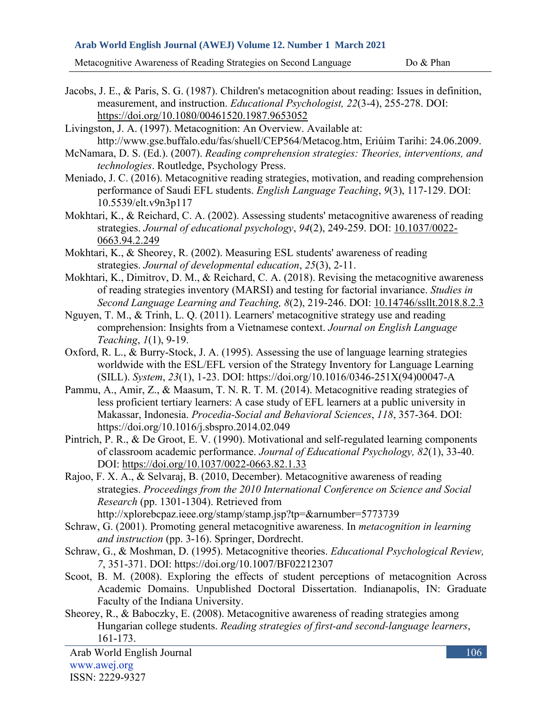Metacognitive Awareness of Reading Strategies on Second Language Do & Phan

- Jacobs, J. E., & Paris, S. G. (1987). Children's metacognition about reading: Issues in definition, measurement, and instruction. *Educational Psychologist, 22*(3-4), 255-278. DOI: <https://doi.org/10.1080/00461520.1987.9653052>
- Livingston, J. A. (1997). Metacognition: An Overview. Available at: http://www.gse.buffalo.edu/fas/shuell/CEP564/Metacog.htm, Eriúim Tarihi: 24.06.2009.
- McNamara, D. S. (Ed.). (2007). *Reading comprehension strategies: Theories, interventions, and technologies*. Routledge, Psychology Press.
- Meniado, J. C. (2016). Metacognitive reading strategies, motivation, and reading comprehension performance of Saudi EFL students. *English Language Teaching*, *9*(3), 117-129. DOI: 10.5539/elt.v9n3p117
- Mokhtari, K., & Reichard, C. A. (2002). Assessing students' metacognitive awareness of reading strategies. *Journal of educational psychology*, *94*(2), 249-259. DOI: [10.1037/0022-](https://www.researchgate.net/deref/http%3A%2F%2Fdx.doi.org%2F10.1037%2F0022-0663.94.2.249?_sg%5B0%5D=7EBw5nwnZXe8M4PgW9xaGfJd8eJv9HLWz6mGqMScVBnRGqZy_QgnSNAWdX6FD0yJQu0mveQqk_ECCZgKe2bbG9UGeg.s7t8pgX6myegGmgoamN08tKtFsiLSPc2ZjdQ618STQKKWC8hGsndFZrQ2c-nxOZaCCHKTMnueo41FUAMFlbsYA) [0663.94.2.249](https://www.researchgate.net/deref/http%3A%2F%2Fdx.doi.org%2F10.1037%2F0022-0663.94.2.249?_sg%5B0%5D=7EBw5nwnZXe8M4PgW9xaGfJd8eJv9HLWz6mGqMScVBnRGqZy_QgnSNAWdX6FD0yJQu0mveQqk_ECCZgKe2bbG9UGeg.s7t8pgX6myegGmgoamN08tKtFsiLSPc2ZjdQ618STQKKWC8hGsndFZrQ2c-nxOZaCCHKTMnueo41FUAMFlbsYA)
- Mokhtari, K., & Sheorey, R. (2002). Measuring ESL students' awareness of reading strategies. *Journal of developmental education*, *25*(3), 2-11.
- Mokhtari, K., Dimitrov, D. M., & Reichard, C. A. (2018). Revising the metacognitive awareness of reading strategies inventory (MARSI) and testing for factorial invariance. *Studies in Second Language Learning and Teaching, 8*(2), 219-246. DOI: [10.14746/ssllt.2018.8.2.3](https://www.researchgate.net/deref/http%3A%2F%2Fdx.doi.org%2F10.14746%2Fssllt.2018.8.2.3?_sg%5B0%5D=fDJuseSd4bmg4W9BujO21Ws3OUGm7KM4SbuOAh-xnSHDTtU44zP0ZOd3XYdfZjzmdFtgKljfe-oAStn9AL1XAjVotA.-nRH0sUapbUV1zo0Jvp6IBapICCOOpBBa9QEr3Qr66pD6FeQ0tBDKie_-YZWuGasNEx0n2FTCy9bPLa1Ou611Q)
- Nguyen, T. M., & Trinh, L. Q. (2011). Learners' metacognitive strategy use and reading comprehension: Insights from a Vietnamese context. *Journal on English Language Teaching*, *1*(1), 9-19.
- Oxford, R. L., & Burry-Stock, J. A. (1995). Assessing the use of language learning strategies worldwide with the ESL/EFL version of the Strategy Inventory for Language Learning (SILL). *System*, *23*(1), 1-23. DOI: [https://doi.org/10.1016/0346-251X\(94\)00047-A](https://doi.org/10.1016/0346-251X(94)00047-A)
- Pammu, A., Amir, Z., & Maasum, T. N. R. T. M. (2014). Metacognitive reading strategies of less proficient tertiary learners: A case study of EFL learners at a public university in Makassar, Indonesia. *Procedia-Social and Behavioral Sciences*, *118*, 357-364. DOI: <https://doi.org/10.1016/j.sbspro.2014.02.049>
- Pintrich, P. R., & De Groot, E. V. (1990). Motivational and self-regulated learning components of classroom academic performance. *Journal of Educational Psychology, 82*(1), 33-40. DOI: [https://doi.org/10.1037/0022-0663.82.1.33](https://psycnet.apa.org/doi/10.1037/0022-0663.82.1.33)
- Rajoo, F. X. A., & Selvaraj, B. (2010, December). Metacognitive awareness of reading strategies. *Proceedings from the 2010 International Conference on Science and Social Research* (pp. 1301-1304). Retrieved from
	- http://xplorebcpaz.ieee.org/stamp/stamp.jsp?tp=&arnumber=5773739
- Schraw, G. (2001). Promoting general metacognitive awareness. In *metacognition in learning and instruction* (pp. 3-16). Springer, Dordrecht.
- Schraw, G., & Moshman, D. (1995). Metacognitive theories. *Educational Psychological Review, 7*, 351-371. DOI: https://doi.org/10.1007/BF02212307
- Scoot, B. M. (2008). Exploring the effects of student perceptions of metacognition Across Academic Domains. Unpublished Doctoral Dissertation. Indianapolis, IN: Graduate Faculty of the Indiana University.
- Sheorey, R., & Baboczky, E. (2008). Metacognitive awareness of reading strategies among Hungarian college students. *Reading strategies of first-and second-language learners*, 161-173.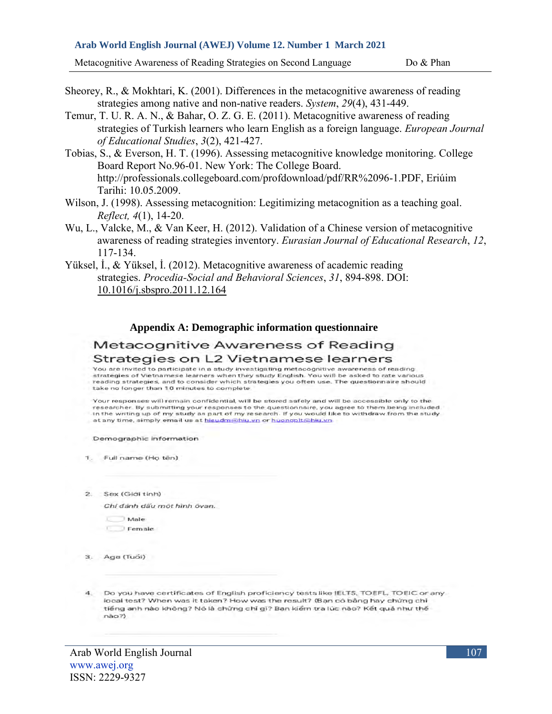Metacognitive Awareness of Reading Strategies on Second Language Do & Phan

Sheorey, R., & Mokhtari, K. (2001). Differences in the metacognitive awareness of reading strategies among native and non-native readers. *System*, *29*(4), 431-449.

- Temur, T. U. R. A. N., & Bahar, O. Z. G. E. (2011). Metacognitive awareness of reading strategies of Turkish learners who learn English as a foreign language. *European Journal of Educational Studies*, *3*(2), 421-427.
- Tobias, S., & Everson, H. T. (1996). Assessing metacognitive knowledge monitoring. College Board Report No.96-01. New York: The College Board. http://professionals.collegeboard.com/profdownload/pdf/RR%2096-1.PDF, Eriúim Tarihi: 10.05.2009.
- Wilson, J. (1998). Assessing metacognition: Legitimizing metacognition as a teaching goal. *Reflect, 4*(1), 14-20.
- Wu, L., Valcke, M., & Van Keer, H. (2012). Validation of a Chinese version of metacognitive awareness of reading strategies inventory. *Eurasian Journal of Educational Research*, *12*, 117-134.
- Yüksel, İ., & Yüksel, İ. (2012). Metacognitive awareness of academic reading strategies. *Procedia-Social and Behavioral Sciences*, *31*, 894-898. DOI: [10.1016/j.sbspro.2011.12.164](https://www.researchgate.net/deref/http%3A%2F%2Fdx.doi.org%2F10.1016%2Fj.sbspro.2011.12.164?_sg%5B0%5D=N-5pLiGpnfbrdOvrVy743dczn6pCeNj7LlSz5Fv7Yqjp-uwD4DDh18nJLr7ZWcBxYYEUHi5k8tBmQ_8Fn2_lAMNVHg.GjzDL_9hInF3X7Ugb9ZekBu9PydIEaAKldLKIOyN7UmqQ9rY_DW29KaaDt07UWNqbXt6CO2Oh0xYNwjkhPVklg)

#### **Appendix A: Demographic information questionnaire**

# Metacognitive Awareness of Reading

#### Strategies on L2 Vietnamese learners

.<br>You are invited to participate in a study investigating metacognitive awareness of reading strategies of Vietnamese learners when they study English. You will be asked to rate various reading strategies, and to consider which strategies you often use. The questionnaire should take no longer than 10 minutes to complete.

Your responses will remain confidential, will be stored safely and will be accessible only to the researcher. By submitting your responses to the questionnaire, you agree to them being included in the writing up of my study as part of my research. If you would like to withdraw from the study at any time, simply email us at hieudm@hiu.vn or huonopit@hiu.vn

Demographic information

1. Full name (Ho tên)

2. Sex (Giới tinh)

Chỉ đánh dấu một hình ôvan.

- Male
- **Female**
- 3. Age (Tuổi)
- 4. Do you have certificates of English proficiency tests like IELTS, TOEFL, TOEIC or any local test? When was it taken? How was the result? (Ban cô bằng hay chứng chỉ tiếng anh nào không? Nó là chừng chỉ gì? Ban kiểm tra lúc nào? Kết quả như thế  $nao?)$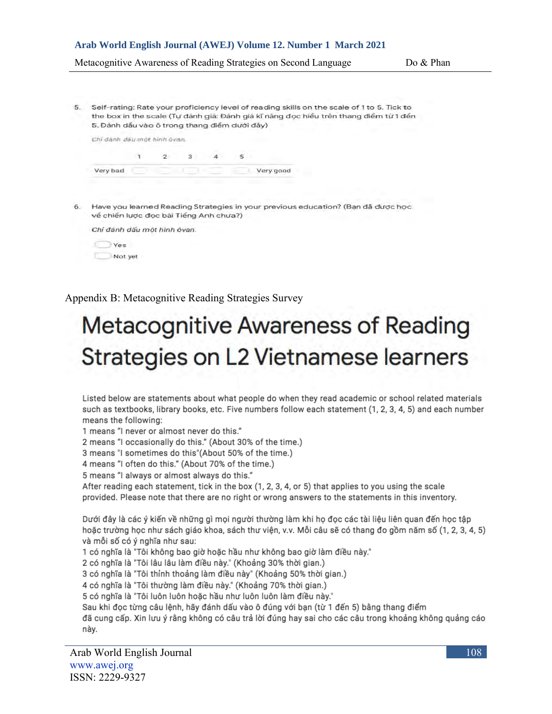Metacognitive Awareness of Reading Strategies on Second Language Do & Phan

5. Self-rating: Rate your proficiency level of reading skills on the scale of 1 to 5. Tick to the box in the scale (Tự đánh giá: Đánh giá kĩ năng đọc hiểu trên thang điểm từ 1 đến 5. Đảnh dấu vào ô trong thang điểm dưới đây)

| Chi danh dáir mót hinh óvan. |  |  |           |
|------------------------------|--|--|-----------|
|                              |  |  |           |
| Very bad                     |  |  | Very good |

6. Have you learned Reading Strategies in your previous education? (Ban đã được học về chiến lược đọc bài Tiếng Anh chưa?)



Not yet

Appendix B: Metacognitive Reading Strategies Survey

# **Metacognitive Awareness of Reading** Strategies on L2 Vietnamese learners

Listed below are statements about what people do when they read academic or school related materials such as textbooks, library books, etc. Five numbers follow each statement (1, 2, 3, 4, 5) and each number means the following:

1 means "I never or almost never do this."

2 means "I occasionally do this." (About 30% of the time.)

3 means "I sometimes do this"(About 50% of the time.)

4 means "I often do this." (About 70% of the time.)

5 means "I always or almost always do this."

After reading each statement, tick in the box (1, 2, 3, 4, or 5) that applies to you using the scale provided. Please note that there are no right or wrong answers to the statements in this inventory.

Dưới đây là các ý kiến về những gì mọi người thường làm khi họ đọc các tài liệu liên quan đến học tập hoặc trường học như sách giáo khoa, sách thư viện, v.v. Mỗi câu sẽ có thang đo gồm năm số (1, 2, 3, 4, 5) và mỗi số có ý nghĩa như sau:

1 có nghĩa là "Tôi không bao giờ hoặc hầu như không bao giờ làm điều này."

2 có nghĩa là "Tôi lâu lâu làm điều này." (Khoảng 30% thời gian.)

3 có nghĩa là "Tôi thỉnh thoảng làm điều này" (Khoảng 50% thời gian.)

4 có nghĩa là "Tôi thường làm điều này." (Khoảng 70% thời gian.)

5 có nghĩa là "Tôi luôn luôn hoặc hầu như luôn luôn làm điều này."

Sau khi đọc từng câu lệnh, hãy đánh dấu vào ô đúng với bạn (từ 1 đến 5) bằng thang điểm

đã cung cấp. Xin lưu ý rằng không có câu trả lời đúng hay sai cho các câu trong khoảng không quảng cáo này.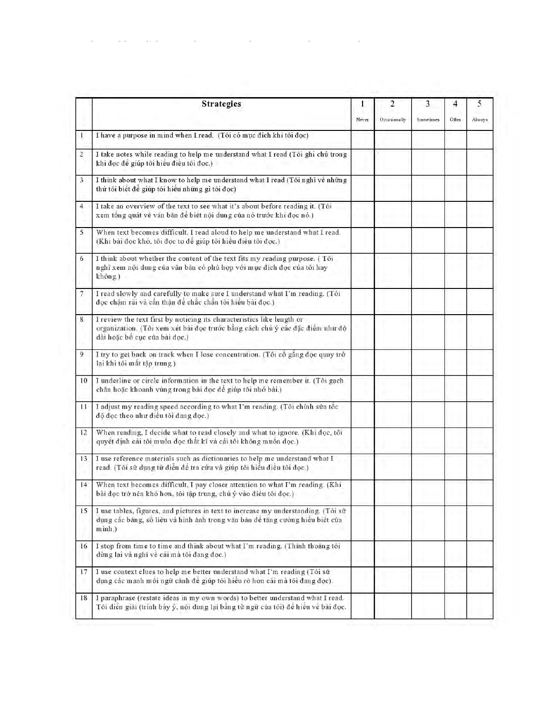|                | <b>Strategies</b>                                                                                                                                                                       | l     | $\overline{2}$ | 3         | 4     | 5      |
|----------------|-----------------------------------------------------------------------------------------------------------------------------------------------------------------------------------------|-------|----------------|-----------|-------|--------|
|                |                                                                                                                                                                                         | Never | Occasionally   | Sometimes | Often | Always |
| T              | I have a purpose in mind when I read. (Tôi có mục đích khi tôi đọc)                                                                                                                     |       |                |           |       |        |
| $\overline{2}$ | I take notes while reading to help me understand what I read (Tôi ghi chú trong<br>khi đọc để giúp tôi hiểu điều tôi đọc.)                                                              |       |                |           |       |        |
| $\overline{3}$ | I think about what I know to help me understand what I read (Tôi nghĩ về những<br>thứ tôi biết để giúp tôi hiểu những gì tôi đọc)                                                       |       |                |           |       |        |
| $\overline{4}$ | I take an overview of the text to see what it's about before reading it. (Tôi<br>xem tổng quát về văn bản để biết nội dung của nó trước khi đọc nó.)                                    |       |                |           |       |        |
| 5              | When text becomes difficult, I read aloud to help me understand what I read.<br>(Khi bài đọc khỏ, tôi đọc to để giúp tôi hiều điều tôi đọc.)                                            |       |                |           |       |        |
| 6              | I think about whether the content of the text fits my reading purpose. (Tôi<br>nghĩ xem nội dung của văn bản có phủ hợp với mục đích đọc của tôi hay<br>không.)                         |       |                |           |       |        |
| 7              | I read slowly and carefully to make sure I understand what I'm reading. (Tôi<br>đọc chậm rãi và cần thận để chắc chắn tôi hiểu bài đọc.)                                                |       |                |           |       |        |
| 8              | I review the text first by noticing its characteristics like length or<br>organization. (Tôi xem xét bài đọc trước bằng cách chú ý các đặc điểm như độ<br>dài hoặc bố cục của bài đọc.) |       |                |           |       |        |
| 9              | I try to get back on track when I lose concentration. (Tôi cổ gắng đọc quay trở<br>lại khi tôi mất tập trung.)                                                                          |       |                |           |       |        |
| 10             | I underline or circle information in the text to help me remember it. (Tõi gach<br>chân hoặc khoanh vùng trong bài đọc để giúp tỏi nhớ bài.)                                            |       |                |           |       |        |
| $\mathbf{1}$   | I adjust my reading speed according to what I'm reading. (Tôi chỉnh sửa tốc<br>độ đọc theo như điều tôi đang đọc.)                                                                      |       |                |           |       |        |
| 12             | When reading, I decide what to read closely and what to ignore. (Khi doc, tôi<br>quyết định cái tôi muốn đọc thất kĩ và cái tôi không muốn đọc.)                                        |       |                |           |       |        |
| 13             | I use reference materials such as dictionaries to help me understand what I<br>read. (Tôi sử dụng từ điển để tra cứu và giúp tôi hiểu điều tôi đọc.)                                    |       |                |           |       |        |
| 14             | When text becomes difficult, I pay closer attention to what I'm reading. (Khi<br>bài đọc trở nên khó hơn, tôi tập trung, chủ ý vào điều tôi đọc.)                                       |       |                |           |       |        |
| 15             | I use tables, figures, and pictures in text to increase my understanding. (Tôi sử<br>dụng các bảng, số liệu và hình ảnh trong văn bản để tăng cường hiểu biết của<br>minh.)             |       |                |           |       |        |
| 16             | I stop from time to time and think about what I'm reading. (Thinh thoảng tôi<br>dừng lại và nghĩ về cái mà tôi đang đọc.)                                                               |       |                |           |       |        |
| 17             | I use context clues to help me better understand what I'm reading (Tôi sử<br>dụng các manh mối ngữ cảnh để giúp tôi hiểu rõ hơn cái mà tôi đang đọc).                                   |       |                |           |       |        |
| 18             | I paraphrase (restate ideas in my own words) to better understand what I read.<br>Tôi diễn giải (trình bảy ý, nội dung lại bằng từ ngữ của tôi) để hiểu về bài đọc.                     |       |                |           |       |        |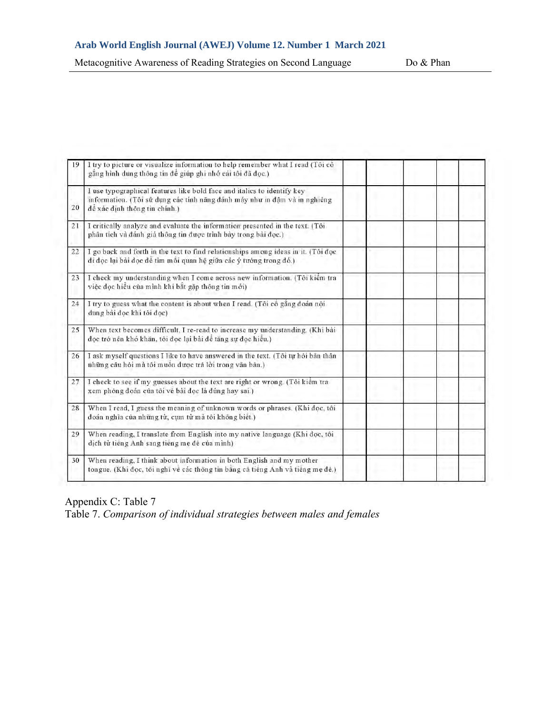Metacognitive Awareness of Reading Strategies on Second Language Do & Phan

| 19 | I try to picture or visualize information to help remember what I read (Tôi cô<br>gắng hình dung thông tin để giúp ghi nhớ cái tôi đã đọc.)                                           |  |  |
|----|---------------------------------------------------------------------------------------------------------------------------------------------------------------------------------------|--|--|
| 20 | I use typographical features like bold face and italics to identify key<br>information. (Tôi sử dụng các tính năng đánh máy như in đậm và in nghiêng<br>đề xác định thông tin chính.) |  |  |
| 21 | I critically analyze and evaluate the information presented in the text. (Tôi<br>phân tích và đánh giá thông tin được trình bày trong bài đọc.)                                       |  |  |
| 22 | I go back and forth in the text to find relationships among ideas in it. (Tôi đọc<br>đi đọc lại bài đọc để tìm mối quan hệ giữa các ý tưởng trong đó.)                                |  |  |
| 23 | I check my understanding when I come across new information. (Tôi kiểm tra<br>việc đọc hiểu của mình khi bắt gặp thông tin mới)                                                       |  |  |
| 24 | I try to guess what the content is about when I read. (Tôi cô gắng đoán nội<br>dung bài đọc khi tôi đọc)                                                                              |  |  |
| 25 | When text becomes difficult, I re-read to increase my understanding. (Khi bài<br>đọc trở nên khó khăn, tôi đọc lại bài để tăng sự đọc hiểu.)                                          |  |  |
| 26 | I ask myself questions I like to have answered in the text. (Tôi tự hỏi bản thân<br>những câu hỏi mà tôi muốn được trả lời trong văn bản.)                                            |  |  |
| 27 | I check to see if my guesses about the text are right or wrong. (Tôi kiềm tra<br>xem phỏng đoán của tôi về bài đọc là đúng hay sai.)                                                  |  |  |
| 28 | When I read, I guess the meaning of unknown words or phrases. (Khi doc, tôi<br>đoán nghĩa của những từ, cụm từ mà tôi không biết.)                                                    |  |  |
| 29 | When reading, I translate from English into my native language (Khi đọc, tôi<br>dich từ tiếng Anh sang tiếng mẹ đẻ của mình)                                                          |  |  |
| 30 | When reading, I think about information in both English and my mother<br>tongue. (Khi đọc, tôi nghĩ về các thông tin bằng cả tiếng Anh và tiếng mẹ đẻ.)                               |  |  |

Appendix C: Table 7

Table 7. *Comparison of individual strategies between males and females*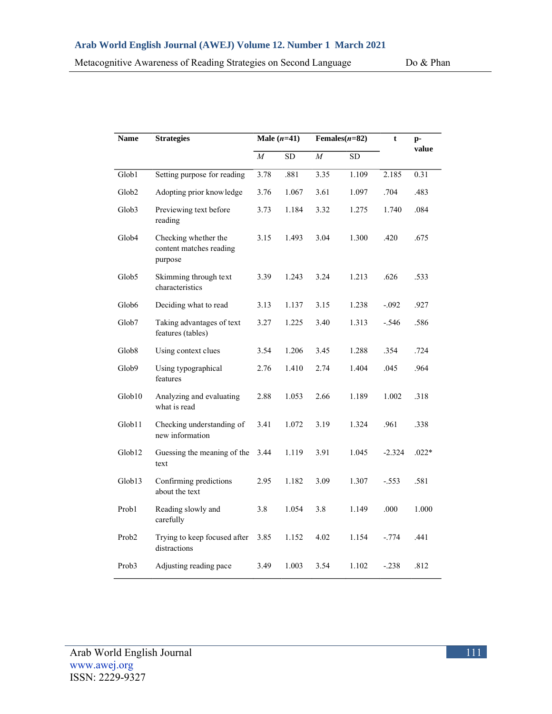| Metacognitive Awareness of Reading Strategies on Second Language |  |  |  |
|------------------------------------------------------------------|--|--|--|
|                                                                  |  |  |  |

|                    | <b>Strategies</b>                                          |          | Male $(n=41)$ |          |            | Females $(n=82)$<br>$\mathbf t$ |         |
|--------------------|------------------------------------------------------------|----------|---------------|----------|------------|---------------------------------|---------|
|                    |                                                            | $\cal M$ | ${\rm SD}$    | $\cal M$ | ${\rm SD}$ |                                 | value   |
| Glob1              | Setting purpose for reading                                | 3.78     | .881          | 3.35     | 1.109      | 2.185                           | 0.31    |
| Glob <sub>2</sub>  | Adopting prior knowledge                                   | 3.76     | 1.067         | 3.61     | 1.097      | .704                            | .483    |
| Glob3              | Previewing text before<br>reading                          | 3.73     | 1.184         | 3.32     | 1.275      | 1.740                           | .084    |
| Glob4              | Checking whether the<br>content matches reading<br>purpose | 3.15     | 1.493         | 3.04     | 1.300      | .420                            | .675    |
| Glob5              | Skimming through text<br>characteristics                   | 3.39     | 1.243         | 3.24     | 1.213      | .626                            | .533    |
| Glob <sub>6</sub>  | Deciding what to read                                      | 3.13     | 1.137         | 3.15     | 1.238      | $-.092$                         | .927    |
| Glob7              | Taking advantages of text<br>features (tables)             | 3.27     | 1.225         | 3.40     | 1.313      | $-.546$                         | .586    |
| Glob <sub>8</sub>  | Using context clues                                        | 3.54     | 1.206         | 3.45     | 1.288      | .354                            | .724    |
| Glob9              | Using typographical<br>features                            | 2.76     | 1.410         | 2.74     | 1.404      | .045                            | .964    |
| Glob10             | Analyzing and evaluating<br>what is read                   | 2.88     | 1.053         | 2.66     | 1.189      | 1.002                           | .318    |
| Glob11             | Checking understanding of<br>new information               | 3.41     | 1.072         | 3.19     | 1.324      | .961                            | .338    |
| Glob <sub>12</sub> | Guessing the meaning of the<br>text                        | 3.44     | 1.119         | 3.91     | 1.045      | $-2.324$                        | $.022*$ |
| Glob13             | Confirming predictions<br>about the text                   | 2.95     | 1.182         | 3.09     | 1.307      | $-.553$                         | .581    |
| Prob1              | Reading slowly and<br>carefully                            | 3.8      | 1.054         | 3.8      | 1.149      | .000                            | 1.000   |
| Prob <sub>2</sub>  | Trying to keep focused after 3.85<br>distractions          |          | 1.152         | 4.02     | 1.154      | $-.774$                         | .441    |
| Prob3              | Adjusting reading pace                                     | 3.49     | 1.003         | 3.54     | 1.102      | $-.238$                         | .812    |